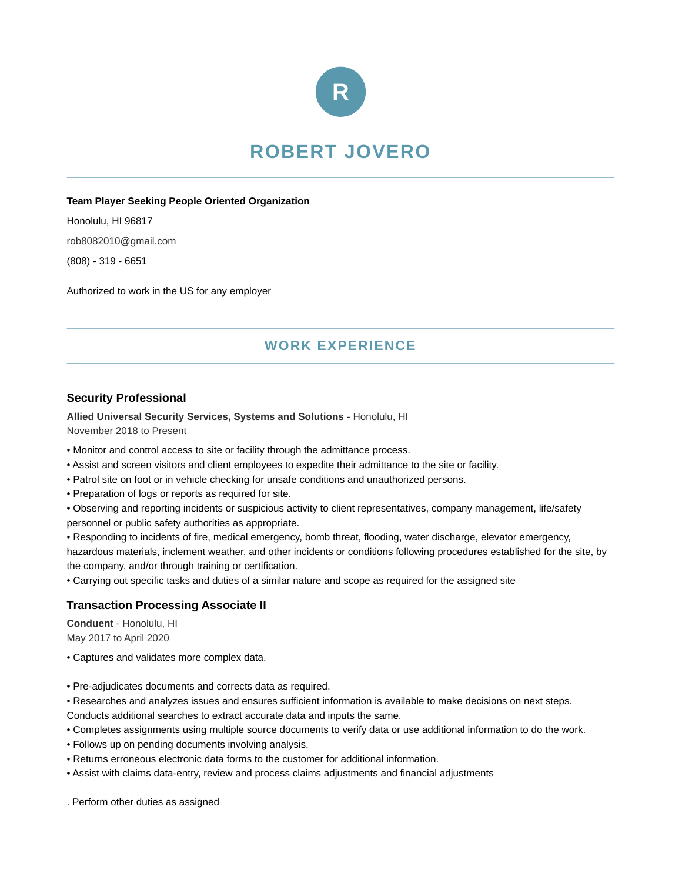

# **ROBERT JOVERO**

#### **Team Player Seeking People Oriented Organization**

Honolulu, HI 96817 rob8082010@gmail.com

(808) - 319 - 6651

Authorized to work in the US for any employer

# **WORK EXPERIENCE**

### **Security Professional**

**Allied Universal Security Services, Systems and Solutions** - Honolulu, HI November 2018 to Present

- Monitor and control access to site or facility through the admittance process.
- Assist and screen visitors and client employees to expedite their admittance to the site or facility.
- Patrol site on foot or in vehicle checking for unsafe conditions and unauthorized persons.
- Preparation of logs or reports as required for site.

• Observing and reporting incidents or suspicious activity to client representatives, company management, life/safety personnel or public safety authorities as appropriate.

• Responding to incidents of fire, medical emergency, bomb threat, flooding, water discharge, elevator emergency, hazardous materials, inclement weather, and other incidents or conditions following procedures established for the site, by the company, and/or through training or certification.

• Carrying out specific tasks and duties of a similar nature and scope as required for the assigned site

### **Transaction Processing Associate II**

**Conduent** - Honolulu, HI May 2017 to April 2020

- Captures and validates more complex data.
- Pre-adjudicates documents and corrects data as required.
- Researches and analyzes issues and ensures sufficient information is available to make decisions on next steps.
- Conducts additional searches to extract accurate data and inputs the same.
- Completes assignments using multiple source documents to verify data or use additional information to do the work.
- Follows up on pending documents involving analysis.
- Returns erroneous electronic data forms to the customer for additional information.
- Assist with claims data-entry, review and process claims adjustments and financial adjustments

. Perform other duties as assigned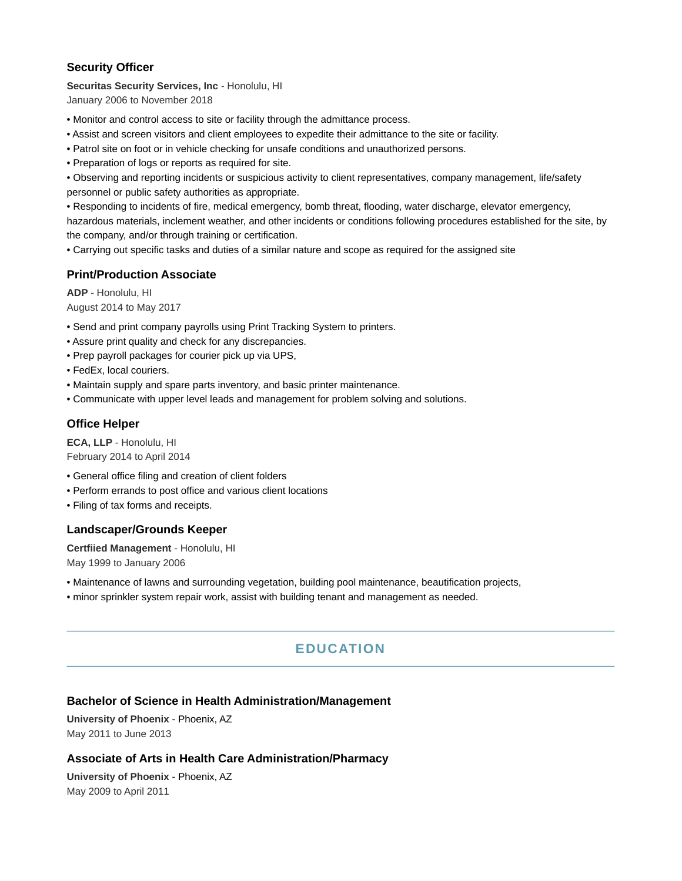### **Security Officer**

**Securitas Security Services, Inc** - Honolulu, HI January 2006 to November 2018

• Monitor and control access to site or facility through the admittance process.

- Assist and screen visitors and client employees to expedite their admittance to the site or facility.
- Patrol site on foot or in vehicle checking for unsafe conditions and unauthorized persons.
- Preparation of logs or reports as required for site.

• Observing and reporting incidents or suspicious activity to client representatives, company management, life/safety personnel or public safety authorities as appropriate.

• Responding to incidents of fire, medical emergency, bomb threat, flooding, water discharge, elevator emergency, hazardous materials, inclement weather, and other incidents or conditions following procedures established for the site, by the company, and/or through training or certification.

• Carrying out specific tasks and duties of a similar nature and scope as required for the assigned site

#### **Print/Production Associate**

**ADP** - Honolulu, HI August 2014 to May 2017

- Send and print company payrolls using Print Tracking System to printers.
- Assure print quality and check for any discrepancies.
- Prep payroll packages for courier pick up via UPS,
- FedEx, local couriers.
- Maintain supply and spare parts inventory, and basic printer maintenance.
- Communicate with upper level leads and management for problem solving and solutions.

#### **Office Helper**

**ECA, LLP** - Honolulu, HI February 2014 to April 2014

- General office filing and creation of client folders
- Perform errands to post office and various client locations
- Filing of tax forms and receipts.

#### **Landscaper/Grounds Keeper**

**Certfiied Management** - Honolulu, HI May 1999 to January 2006

- Maintenance of lawns and surrounding vegetation, building pool maintenance, beautification projects,
- minor sprinkler system repair work, assist with building tenant and management as needed.

# **EDUCATION**

### **Bachelor of Science in Health Administration/Management**

**University of Phoenix** - Phoenix, AZ May 2011 to June 2013

#### **Associate of Arts in Health Care Administration/Pharmacy**

**University of Phoenix** - Phoenix, AZ May 2009 to April 2011